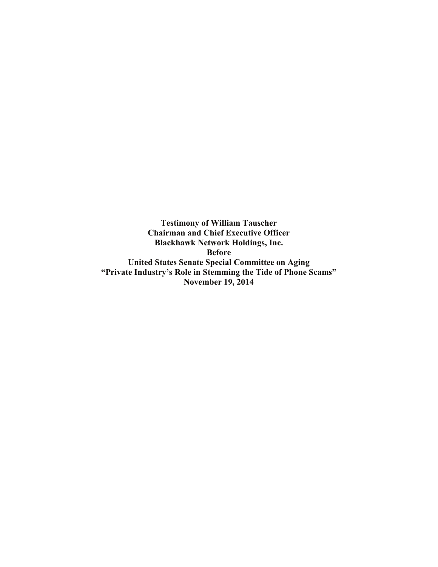**Testimony of William Tauscher Chairman and Chief Executive Officer Blackhawk Network Holdings, Inc. Before United States Senate Special Committee on Aging "Private Industry's Role in Stemming the Tide of Phone Scams" November 19, 2014**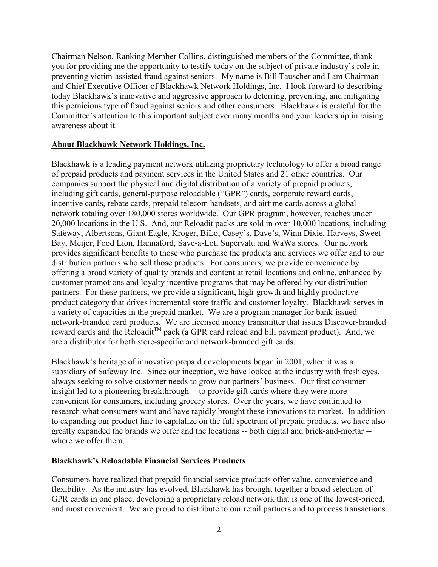Chairman Nelson, Ranking Member Collins, distinguished members of the Committee, thank you for providing me the opportunity to testify today on the subject of private industry's role in preventing victim-assisted fraud against seniors. My name is Bill Tauscher and I am Chairman and Chief Executive Officer of Blackhawk Network Holdings, Inc. I look forward to describing today Blackhawk's innovative and aggressive approach to deterring, preventing, and mitigating this pernicious type of fraud against seniors and other consumers. Blackhawk is grateful for the Committee's attention to this important subject over many months and your leadership in raising awareness about it.

# **About Blackhawk Network Holdings, Inc.**

Blackhawk is a leading payment network utilizing proprietary technology to offer a broad range of prepaid products and payment services in the United States and 21 other countries. Our companies support the physical and digital distribution of a variety of prepaid products, including gift cards, general-purpose reloadable ("GPR") cards, corporate reward cards, incentive cards, rebate cards, prepaid telecom handsets, and airtime cards across a global network totaling over 180,000 stores worldwide. Our GPR program, however, reaches under 20,000 locations in the U.S. And, our Reloadit packs are sold in over 10,000 locations, including Safeway, Albertsons, Giant Eagle, Kroger, BiLo, Casey's, Dave's, Winn Dixie, Harveys, Sweet Bay, Meijer, Food Lion, Hannaford, Save-a-Lot, Supervalu and WaWa stores. Our network provides significant benefits to those who purchase the products and services we offer and to our distribution partners who sell those products. For consumers, we provide convenience by offering a broad variety of quality brands and content at retail locations and online, enhanced by customer promotions and loyalty incentive programs that may be offered by our distribution partners. For these partners, we provide a significant, high-growth and highly productive product category that drives incremental store traffic and customer loyalty. Blackhawk serves in a variety of capacities in the prepaid market. We are a program manager for bank-issued network-branded card products. We are licensed money transmitter that issues Discover-branded reward cards and the Reloadit<sup>™</sup> pack (a GPR card reload and bill payment product). And, we are a distributor for both store-specific and network-branded gift cards.

Blackhawk's heritage of innovative prepaid developments began in 2001, when it was a subsidiary of Safeway Inc. Since our inception, we have looked at the industry with fresh eyes, always seeking to solve customer needs to grow our partners' business. Our first consumer insight led to a pioneering breakthrough -- to provide gift cards where they were more convenient for consumers, including grocery stores. Over the years, we have continued to research what consumers want and have rapidly brought these innovations to market. In addition to expanding our product line to capitalize on the full spectrum of prepaid products, we have also greatly expanded the brands we offer and the locations -- both digital and brick-and-mortar - where we offer them.

### **Blackhawk's Reloadable Financial Services Products**

Consumers have realized that prepaid financial service products offer value, convenience and flexibility. As the industry has evolved, Blackhawk has brought together a broad selection of GPR cards in one place, developing a proprietary reload network that is one of the lowest-priced, and most convenient. We are proud to distribute to our retail partners and to process transactions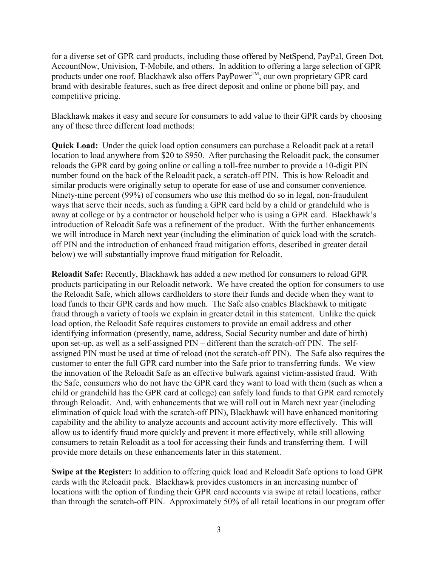for a diverse set of GPR card products, including those offered by NetSpend, PayPal, Green Dot, AccountNow, Univision, T-Mobile, and others. In addition to offering a large selection of GPR products under one roof, Blackhawk also offers PayPower<sup>TM</sup>, our own proprietary GPR card brand with desirable features, such as free direct deposit and online or phone bill pay, and competitive pricing.

Blackhawk makes it easy and secure for consumers to add value to their GPR cards by choosing any of these three different load methods:

**Quick Load:** Under the quick load option consumers can purchase a Reloadit pack at a retail location to load anywhere from \$20 to \$950. After purchasing the Reloadit pack, the consumer reloads the GPR card by going online or calling a toll-free number to provide a 10-digit PIN number found on the back of the Reloadit pack, a scratch-off PIN. This is how Reloadit and similar products were originally setup to operate for ease of use and consumer convenience. Ninety-nine percent (99%) of consumers who use this method do so in legal, non-fraudulent ways that serve their needs, such as funding a GPR card held by a child or grandchild who is away at college or by a contractor or household helper who is using a GPR card. Blackhawk's introduction of Reloadit Safe was a refinement of the product. With the further enhancements we will introduce in March next year (including the elimination of quick load with the scratchoff PIN and the introduction of enhanced fraud mitigation efforts, described in greater detail below) we will substantially improve fraud mitigation for Reloadit.

**Reloadit Safe:** Recently, Blackhawk has added a new method for consumers to reload GPR products participating in our Reloadit network. We have created the option for consumers to use the Reloadit Safe, which allows cardholders to store their funds and decide when they want to load funds to their GPR cards and how much. The Safe also enables Blackhawk to mitigate fraud through a variety of tools we explain in greater detail in this statement. Unlike the quick load option, the Reloadit Safe requires customers to provide an email address and other identifying information (presently, name, address, Social Security number and date of birth) upon set-up, as well as a self-assigned PIN – different than the scratch-off PIN. The selfassigned PIN must be used at time of reload (not the scratch-off PIN). The Safe also requires the customer to enter the full GPR card number into the Safe prior to transferring funds. We view the innovation of the Reloadit Safe as an effective bulwark against victim-assisted fraud. With the Safe, consumers who do not have the GPR card they want to load with them (such as when a child or grandchild has the GPR card at college) can safely load funds to that GPR card remotely through Reloadit. And, with enhancements that we will roll out in March next year (including elimination of quick load with the scratch-off PIN), Blackhawk will have enhanced monitoring capability and the ability to analyze accounts and account activity more effectively. This will allow us to identify fraud more quickly and prevent it more effectively, while still allowing consumers to retain Reloadit as a tool for accessing their funds and transferring them. I will provide more details on these enhancements later in this statement.

**Swipe at the Register:** In addition to offering quick load and Reloadit Safe options to load GPR cards with the Reloadit pack. Blackhawk provides customers in an increasing number of locations with the option of funding their GPR card accounts via swipe at retail locations, rather than through the scratch-off PIN. Approximately 50% of all retail locations in our program offer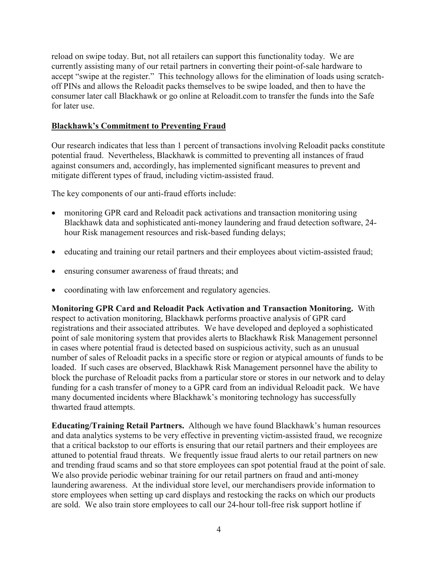reload on swipe today. But, not all retailers can support this functionality today. We are currently assisting many of our retail partners in converting their point-of-sale hardware to accept "swipe at the register." This technology allows for the elimination of loads using scratchoff PINs and allows the Reloadit packs themselves to be swipe loaded, and then to have the consumer later call Blackhawk or go online at Reloadit.com to transfer the funds into the Safe for later use.

# **Blackhawk's Commitment to Preventing Fraud**

Our research indicates that less than 1 percent of transactions involving Reloadit packs constitute potential fraud. Nevertheless, Blackhawk is committed to preventing all instances of fraud against consumers and, accordingly, has implemented significant measures to prevent and mitigate different types of fraud, including victim-assisted fraud.

The key components of our anti-fraud efforts include:

- monitoring GPR card and Reloadit pack activations and transaction monitoring using Blackhawk data and sophisticated anti-money laundering and fraud detection software, 24 hour Risk management resources and risk-based funding delays;
- educating and training our retail partners and their employees about victim-assisted fraud;
- ensuring consumer awareness of fraud threats; and
- coordinating with law enforcement and regulatory agencies.

**Monitoring GPR Card and Reloadit Pack Activation and Transaction Monitoring.** With respect to activation monitoring, Blackhawk performs proactive analysis of GPR card registrations and their associated attributes. We have developed and deployed a sophisticated point of sale monitoring system that provides alerts to Blackhawk Risk Management personnel in cases where potential fraud is detected based on suspicious activity, such as an unusual number of sales of Reloadit packs in a specific store or region or atypical amounts of funds to be loaded. If such cases are observed, Blackhawk Risk Management personnel have the ability to block the purchase of Reloadit packs from a particular store or stores in our network and to delay funding for a cash transfer of money to a GPR card from an individual Reloadit pack. We have many documented incidents where Blackhawk's monitoring technology has successfully thwarted fraud attempts.

**Educating/Training Retail Partners.** Although we have found Blackhawk's human resources and data analytics systems to be very effective in preventing victim-assisted fraud, we recognize that a critical backstop to our efforts is ensuring that our retail partners and their employees are attuned to potential fraud threats. We frequently issue fraud alerts to our retail partners on new and trending fraud scams and so that store employees can spot potential fraud at the point of sale. We also provide periodic webinar training for our retail partners on fraud and anti-money laundering awareness. At the individual store level, our merchandisers provide information to store employees when setting up card displays and restocking the racks on which our products are sold. We also train store employees to call our 24-hour toll-free risk support hotline if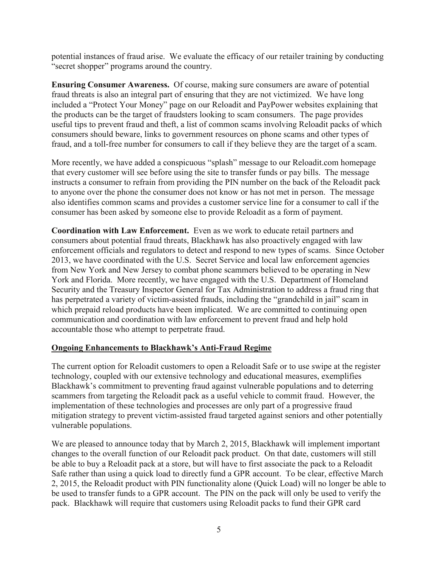potential instances of fraud arise. We evaluate the efficacy of our retailer training by conducting "secret shopper" programs around the country.

**Ensuring Consumer Awareness.** Of course, making sure consumers are aware of potential fraud threats is also an integral part of ensuring that they are not victimized. We have long included a "Protect Your Money" page on our Reloadit and PayPower websites explaining that the products can be the target of fraudsters looking to scam consumers. The page provides useful tips to prevent fraud and theft, a list of common scams involving Reloadit packs of which consumers should beware, links to government resources on phone scams and other types of fraud, and a toll-free number for consumers to call if they believe they are the target of a scam.

More recently, we have added a conspicuous "splash" message to our Reloadit.com homepage that every customer will see before using the site to transfer funds or pay bills. The message instructs a consumer to refrain from providing the PIN number on the back of the Reloadit pack to anyone over the phone the consumer does not know or has not met in person. The message also identifies common scams and provides a customer service line for a consumer to call if the consumer has been asked by someone else to provide Reloadit as a form of payment.

**Coordination with Law Enforcement.** Even as we work to educate retail partners and consumers about potential fraud threats, Blackhawk has also proactively engaged with law enforcement officials and regulators to detect and respond to new types of scams. Since October 2013, we have coordinated with the U.S. Secret Service and local law enforcement agencies from New York and New Jersey to combat phone scammers believed to be operating in New York and Florida. More recently, we have engaged with the U.S. Department of Homeland Security and the Treasury Inspector General for Tax Administration to address a fraud ring that has perpetrated a variety of victim-assisted frauds, including the "grandchild in jail" scam in which prepaid reload products have been implicated. We are committed to continuing open communication and coordination with law enforcement to prevent fraud and help hold accountable those who attempt to perpetrate fraud.

### **Ongoing Enhancements to Blackhawk's Anti-Fraud Regime**

The current option for Reloadit customers to open a Reloadit Safe or to use swipe at the register technology, coupled with our extensive technology and educational measures, exemplifies Blackhawk's commitment to preventing fraud against vulnerable populations and to deterring scammers from targeting the Reloadit pack as a useful vehicle to commit fraud. However, the implementation of these technologies and processes are only part of a progressive fraud mitigation strategy to prevent victim-assisted fraud targeted against seniors and other potentially vulnerable populations.

We are pleased to announce today that by March 2, 2015, Blackhawk will implement important changes to the overall function of our Reloadit pack product. On that date, customers will still be able to buy a Reloadit pack at a store, but will have to first associate the pack to a Reloadit Safe rather than using a quick load to directly fund a GPR account. To be clear, effective March 2, 2015, the Reloadit product with PIN functionality alone (Quick Load) will no longer be able to be used to transfer funds to a GPR account. The PIN on the pack will only be used to verify the pack. Blackhawk will require that customers using Reloadit packs to fund their GPR card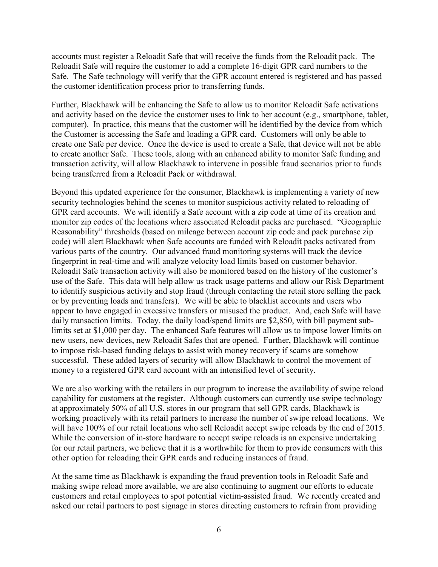accounts must register a Reloadit Safe that will receive the funds from the Reloadit pack. The Reloadit Safe will require the customer to add a complete 16-digit GPR card numbers to the Safe. The Safe technology will verify that the GPR account entered is registered and has passed the customer identification process prior to transferring funds.

Further, Blackhawk will be enhancing the Safe to allow us to monitor Reloadit Safe activations and activity based on the device the customer uses to link to her account (e.g., smartphone, tablet, computer). In practice, this means that the customer will be identified by the device from which the Customer is accessing the Safe and loading a GPR card. Customers will only be able to create one Safe per device. Once the device is used to create a Safe, that device will not be able to create another Safe. These tools, along with an enhanced ability to monitor Safe funding and transaction activity, will allow Blackhawk to intervene in possible fraud scenarios prior to funds being transferred from a Reloadit Pack or withdrawal.

Beyond this updated experience for the consumer, Blackhawk is implementing a variety of new security technologies behind the scenes to monitor suspicious activity related to reloading of GPR card accounts. We will identify a Safe account with a zip code at time of its creation and monitor zip codes of the locations where associated Reloadit packs are purchased. "Geographic Reasonability" thresholds (based on mileage between account zip code and pack purchase zip code) will alert Blackhawk when Safe accounts are funded with Reloadit packs activated from various parts of the country. Our advanced fraud monitoring systems will track the device fingerprint in real-time and will analyze velocity load limits based on customer behavior. Reloadit Safe transaction activity will also be monitored based on the history of the customer's use of the Safe. This data will help allow us track usage patterns and allow our Risk Department to identify suspicious activity and stop fraud (through contacting the retail store selling the pack or by preventing loads and transfers). We will be able to blacklist accounts and users who appear to have engaged in excessive transfers or misused the product. And, each Safe will have daily transaction limits. Today, the daily load/spend limits are \$2,850, with bill payment sublimits set at \$1,000 per day. The enhanced Safe features will allow us to impose lower limits on new users, new devices, new Reloadit Safes that are opened. Further, Blackhawk will continue to impose risk-based funding delays to assist with money recovery if scams are somehow successful. These added layers of security will allow Blackhawk to control the movement of money to a registered GPR card account with an intensified level of security.

We are also working with the retailers in our program to increase the availability of swipe reload capability for customers at the register. Although customers can currently use swipe technology at approximately 50% of all U.S. stores in our program that sell GPR cards, Blackhawk is working proactively with its retail partners to increase the number of swipe reload locations. We will have 100% of our retail locations who sell Reloadit accept swipe reloads by the end of 2015. While the conversion of in-store hardware to accept swipe reloads is an expensive undertaking for our retail partners, we believe that it is a worthwhile for them to provide consumers with this other option for reloading their GPR cards and reducing instances of fraud.

At the same time as Blackhawk is expanding the fraud prevention tools in Reloadit Safe and making swipe reload more available, we are also continuing to augment our efforts to educate customers and retail employees to spot potential victim-assisted fraud. We recently created and asked our retail partners to post signage in stores directing customers to refrain from providing